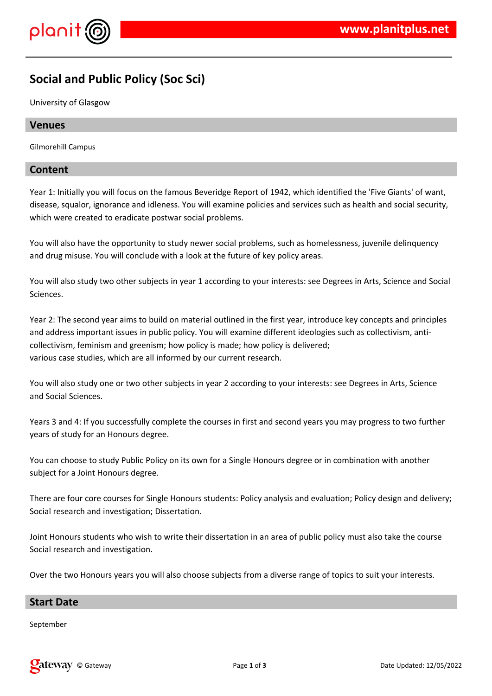



# **Social and Public Policy (Soc Sci)**

University of Glasgow

# **Venues**

Gilmorehill Campus

# **Content**

Year 1: Initially you will focus on the famous Beveridge Report of 1942, which identified the 'Five Giants' of want, disease, squalor, ignorance and idleness. You will examine policies and services such as health and social security, which were created to eradicate postwar social problems.

You will also have the opportunity to study newer social problems, such as homelessness, juvenile delinquency and drug misuse. You will conclude with a look at the future of key policy areas.

You will also study two other subjects in year 1 according to your interests: see Degrees in Arts, Science and Social Sciences.

Year 2: The second year aims to build on material outlined in the first year, introduce key concepts and principles and address important issues in public policy. You will examine different ideologies such as collectivism, anticollectivism, feminism and greenism; how policy is made; how policy is delivered; various case studies, which are all informed by our current research.

You will also study one or two other subjects in year 2 according to your interests: see Degrees in Arts, Science and Social Sciences.

Years 3 and 4: If you successfully complete the courses in first and second years you may progress to two further years of study for an Honours degree.

You can choose to study Public Policy on its own for a Single Honours degree or in combination with another subject for a Joint Honours degree.

There are four core courses for Single Honours students: Policy analysis and evaluation; Policy design and delivery; Social research and investigation; Dissertation.

Joint Honours students who wish to write their dissertation in an area of public policy must also take the course Social research and investigation.

Over the two Honours years you will also choose subjects from a diverse range of topics to suit your interests.

# **Start Date**

September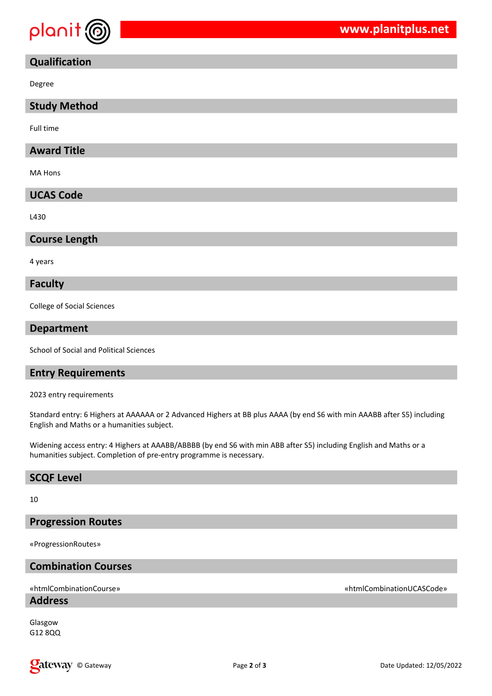

# **Qualification**

Degree

# **Study Method**

Full time

# **Award Title**

MA Hons

# **UCAS Code**

L430

# **Course Length**

4 years

#### **Faculty**

College of Social Sciences

## **Department**

School of Social and Political Sciences

# **Entry Requirements**

2023 entry requirements

Standard entry: 6 Highers at AAAAAA or 2 Advanced Highers at BB plus AAAA (by end S6 with min AAABB after S5) including English and Maths or a humanities subject.

Widening access entry: 4 Highers at AAABB/ABBBB (by end S6 with min ABB after S5) including English and Maths or a humanities subject. Completion of pre-entry programme is necessary.

## **SCQF Level**

10

## **Progression Routes**

«ProgressionRoutes»

# **Combination Courses**

# **Address**

Glasgow G12 8QQ

#### «htmlCombinationCourse» «htmlCombinationUCASCode»